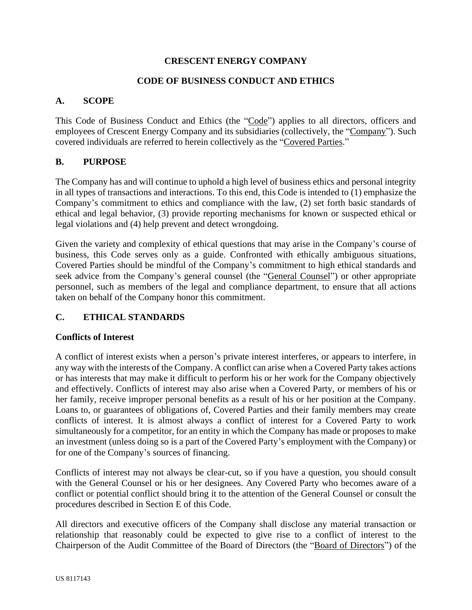### **CRESCENT ENERGY COMPANY**

### **CODE OF BUSINESS CONDUCT AND ETHICS**

### **A. SCOPE**

This Code of Business Conduct and Ethics (the "Code") applies to all directors, officers and employees of Crescent Energy Company and its subsidiaries (collectively, the "Company"). Such covered individuals are referred to herein collectively as the "Covered Parties."

### **B. PURPOSE**

The Company has and will continue to uphold a high level of business ethics and personal integrity in all types of transactions and interactions. To this end, this Code is intended to (1) emphasize the Company's commitment to ethics and compliance with the law, (2) set forth basic standards of ethical and legal behavior, (3) provide reporting mechanisms for known or suspected ethical or legal violations and (4) help prevent and detect wrongdoing.

Given the variety and complexity of ethical questions that may arise in the Company's course of business, this Code serves only as a guide. Confronted with ethically ambiguous situations, Covered Parties should be mindful of the Company's commitment to high ethical standards and seek advice from the Company's general counsel (the "General Counsel") or other appropriate personnel, such as members of the legal and compliance department, to ensure that all actions taken on behalf of the Company honor this commitment.

## **C. ETHICAL STANDARDS**

#### **Conflicts of Interest**

A conflict of interest exists when a person's private interest interferes, or appears to interfere, in any way with the interests of the Company. A conflict can arise when a Covered Party takes actions or has interests that may make it difficult to perform his or her work for the Company objectively and effectively. Conflicts of interest may also arise when a Covered Party, or members of his or her family, receive improper personal benefits as a result of his or her position at the Company. Loans to, or guarantees of obligations of, Covered Parties and their family members may create conflicts of interest. It is almost always a conflict of interest for a Covered Party to work simultaneously for a competitor, for an entity in which the Company has made or proposes to make an investment (unless doing so is a part of the Covered Party's employment with the Company) or for one of the Company's sources of financing.

Conflicts of interest may not always be clear-cut, so if you have a question, you should consult with the General Counsel or his or her designees. Any Covered Party who becomes aware of a conflict or potential conflict should bring it to the attention of the General Counsel or consult the procedures described in Section E of this Code.

All directors and executive officers of the Company shall disclose any material transaction or relationship that reasonably could be expected to give rise to a conflict of interest to the Chairperson of the Audit Committee of the Board of Directors (the "Board of Directors") of the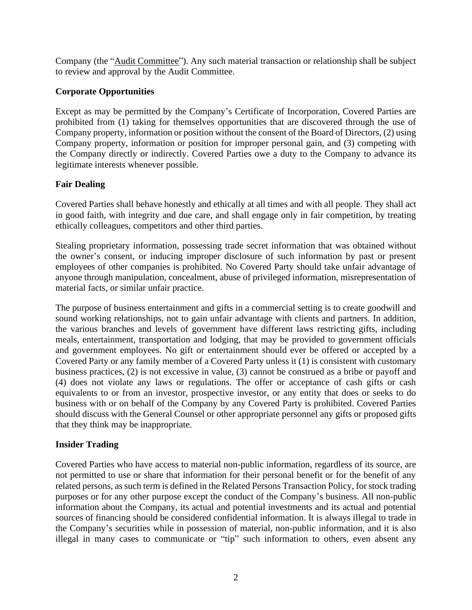Company (the "Audit Committee"). Any such material transaction or relationship shall be subject to review and approval by the Audit Committee.

# **Corporate Opportunities**

Except as may be permitted by the Company's Certificate of Incorporation, Covered Parties are prohibited from (1) taking for themselves opportunities that are discovered through the use of Company property, information or position without the consent of the Board of Directors, (2) using Company property, information or position for improper personal gain, and (3) competing with the Company directly or indirectly. Covered Parties owe a duty to the Company to advance its legitimate interests whenever possible.

# **Fair Dealing**

Covered Parties shall behave honestly and ethically at all times and with all people. They shall act in good faith, with integrity and due care, and shall engage only in fair competition, by treating ethically colleagues, competitors and other third parties.

Stealing proprietary information, possessing trade secret information that was obtained without the owner's consent, or inducing improper disclosure of such information by past or present employees of other companies is prohibited. No Covered Party should take unfair advantage of anyone through manipulation, concealment, abuse of privileged information, misrepresentation of material facts, or similar unfair practice.

The purpose of business entertainment and gifts in a commercial setting is to create goodwill and sound working relationships, not to gain unfair advantage with clients and partners. In addition, the various branches and levels of government have different laws restricting gifts, including meals, entertainment, transportation and lodging, that may be provided to government officials and government employees. No gift or entertainment should ever be offered or accepted by a Covered Party or any family member of a Covered Party unless it (1) is consistent with customary business practices, (2) is not excessive in value, (3) cannot be construed as a bribe or payoff and (4) does not violate any laws or regulations. The offer or acceptance of cash gifts or cash equivalents to or from an investor, prospective investor, or any entity that does or seeks to do business with or on behalf of the Company by any Covered Party is prohibited. Covered Parties should discuss with the General Counsel or other appropriate personnel any gifts or proposed gifts that they think may be inappropriate.

# **Insider Trading**

Covered Parties who have access to material non-public information, regardless of its source, are not permitted to use or share that information for their personal benefit or for the benefit of any related persons, as such term is defined in the Related Persons Transaction Policy, for stock trading purposes or for any other purpose except the conduct of the Company's business. All non-public information about the Company, its actual and potential investments and its actual and potential sources of financing should be considered confidential information. It is always illegal to trade in the Company's securities while in possession of material, non-public information, and it is also illegal in many cases to communicate or "tip" such information to others, even absent any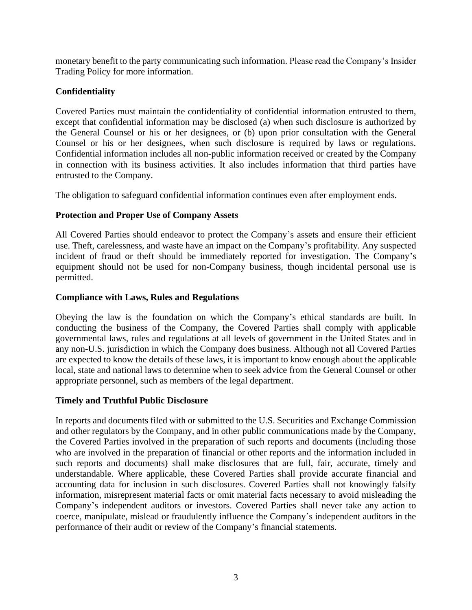monetary benefit to the party communicating such information. Please read the Company's Insider Trading Policy for more information.

## **Confidentiality**

Covered Parties must maintain the confidentiality of confidential information entrusted to them, except that confidential information may be disclosed (a) when such disclosure is authorized by the General Counsel or his or her designees, or (b) upon prior consultation with the General Counsel or his or her designees, when such disclosure is required by laws or regulations. Confidential information includes all non-public information received or created by the Company in connection with its business activities. It also includes information that third parties have entrusted to the Company.

The obligation to safeguard confidential information continues even after employment ends.

## **Protection and Proper Use of Company Assets**

All Covered Parties should endeavor to protect the Company's assets and ensure their efficient use. Theft, carelessness, and waste have an impact on the Company's profitability. Any suspected incident of fraud or theft should be immediately reported for investigation. The Company's equipment should not be used for non-Company business, though incidental personal use is permitted.

## **Compliance with Laws, Rules and Regulations**

Obeying the law is the foundation on which the Company's ethical standards are built. In conducting the business of the Company, the Covered Parties shall comply with applicable governmental laws, rules and regulations at all levels of government in the United States and in any non-U.S. jurisdiction in which the Company does business. Although not all Covered Parties are expected to know the details of these laws, it is important to know enough about the applicable local, state and national laws to determine when to seek advice from the General Counsel or other appropriate personnel, such as members of the legal department.

## **Timely and Truthful Public Disclosure**

In reports and documents filed with or submitted to the U.S. Securities and Exchange Commission and other regulators by the Company, and in other public communications made by the Company, the Covered Parties involved in the preparation of such reports and documents (including those who are involved in the preparation of financial or other reports and the information included in such reports and documents) shall make disclosures that are full, fair, accurate, timely and understandable. Where applicable, these Covered Parties shall provide accurate financial and accounting data for inclusion in such disclosures. Covered Parties shall not knowingly falsify information, misrepresent material facts or omit material facts necessary to avoid misleading the Company's independent auditors or investors. Covered Parties shall never take any action to coerce, manipulate, mislead or fraudulently influence the Company's independent auditors in the performance of their audit or review of the Company's financial statements.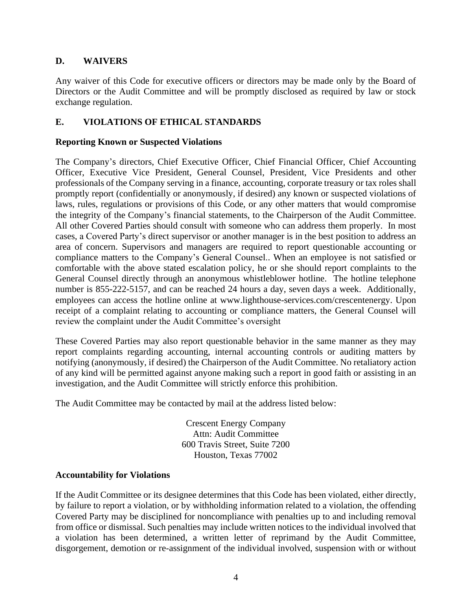# **D. WAIVERS**

Any waiver of this Code for executive officers or directors may be made only by the Board of Directors or the Audit Committee and will be promptly disclosed as required by law or stock exchange regulation.

# **E. VIOLATIONS OF ETHICAL STANDARDS**

### **Reporting Known or Suspected Violations**

The Company's directors, Chief Executive Officer, Chief Financial Officer, Chief Accounting Officer, Executive Vice President, General Counsel, President, Vice Presidents and other professionals of the Company serving in a finance, accounting, corporate treasury or tax roles shall promptly report (confidentially or anonymously, if desired) any known or suspected violations of laws, rules, regulations or provisions of this Code, or any other matters that would compromise the integrity of the Company's financial statements, to the Chairperson of the Audit Committee. All other Covered Parties should consult with someone who can address them properly. In most cases, a Covered Party's direct supervisor or another manager is in the best position to address an area of concern. Supervisors and managers are required to report questionable accounting or compliance matters to the Company's General Counsel.. When an employee is not satisfied or comfortable with the above stated escalation policy, he or she should report complaints to the General Counsel directly through an anonymous whistleblower hotline. The hotline telephone number is 855-222-5157, and can be reached 24 hours a day, seven days a week. Additionally, employees can access the hotline online at www.lighthouse-services.com/crescentenergy. Upon receipt of a complaint relating to accounting or compliance matters, the General Counsel will review the complaint under the Audit Committee's oversight

These Covered Parties may also report questionable behavior in the same manner as they may report complaints regarding accounting, internal accounting controls or auditing matters by notifying (anonymously, if desired) the Chairperson of the Audit Committee. No retaliatory action of any kind will be permitted against anyone making such a report in good faith or assisting in an investigation, and the Audit Committee will strictly enforce this prohibition.

The Audit Committee may be contacted by mail at the address listed below:

Crescent Energy Company Attn: Audit Committee 600 Travis Street, Suite 7200 Houston, Texas 77002

#### **Accountability for Violations**

If the Audit Committee or its designee determines that this Code has been violated, either directly, by failure to report a violation, or by withholding information related to a violation, the offending Covered Party may be disciplined for noncompliance with penalties up to and including removal from office or dismissal. Such penalties may include written notices to the individual involved that a violation has been determined, a written letter of reprimand by the Audit Committee, disgorgement, demotion or re-assignment of the individual involved, suspension with or without